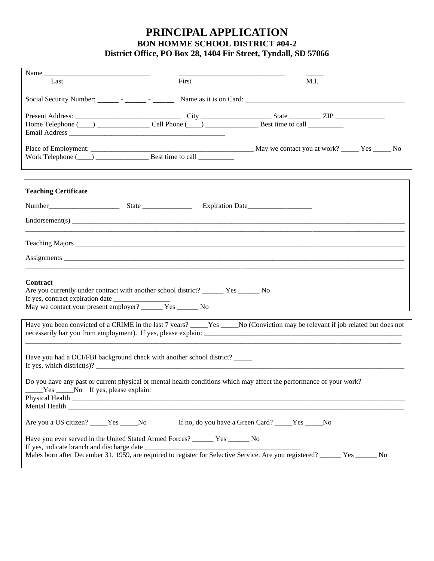## **PRINCIPAL APPLICATION BON HOMME SCHOOL DISTRICT #04-2 District Office, PO Box 28, 1404 Fir Street, Tyndall, SD 57066**

| Last                                      | First                                                                                                                                                                                                                                                                                        | M.I.                                              |  |
|-------------------------------------------|----------------------------------------------------------------------------------------------------------------------------------------------------------------------------------------------------------------------------------------------------------------------------------------------|---------------------------------------------------|--|
|                                           |                                                                                                                                                                                                                                                                                              |                                                   |  |
|                                           |                                                                                                                                                                                                                                                                                              |                                                   |  |
|                                           |                                                                                                                                                                                                                                                                                              |                                                   |  |
|                                           |                                                                                                                                                                                                                                                                                              |                                                   |  |
|                                           |                                                                                                                                                                                                                                                                                              |                                                   |  |
|                                           |                                                                                                                                                                                                                                                                                              |                                                   |  |
| <b>Teaching Certificate</b>               |                                                                                                                                                                                                                                                                                              |                                                   |  |
|                                           | Number<br>State<br>State<br>State<br>State<br>State<br>State<br>State<br>State<br>State<br>State<br>State<br>State<br>State<br>State<br>State<br>State<br>State<br>State<br>State<br>State<br>State<br>State<br>State<br>State<br>State<br>State<br>State<br>State<br>State<br>State<br>Stat |                                                   |  |
|                                           |                                                                                                                                                                                                                                                                                              |                                                   |  |
|                                           |                                                                                                                                                                                                                                                                                              |                                                   |  |
|                                           |                                                                                                                                                                                                                                                                                              |                                                   |  |
|                                           |                                                                                                                                                                                                                                                                                              |                                                   |  |
| <b>Contract</b>                           |                                                                                                                                                                                                                                                                                              |                                                   |  |
|                                           | Are you currently under contract with another school district? __________ Yes ________ No                                                                                                                                                                                                    |                                                   |  |
|                                           |                                                                                                                                                                                                                                                                                              |                                                   |  |
|                                           | May we contact your present employer? ______ Yes ______ No                                                                                                                                                                                                                                   |                                                   |  |
|                                           | Have you been convicted of a CRIME in the last 7 years? ____Yes ____No (Conviction may be relevant if job related but does not                                                                                                                                                               |                                                   |  |
|                                           | Have you had a DCI/FBI background check with another school district?                                                                                                                                                                                                                        |                                                   |  |
| _____Yes ______No If yes, please explain: | Do you have any past or current physical or mental health conditions which may affect the performance of your work?                                                                                                                                                                          |                                                   |  |
|                                           | Mental Health <b>Executive Contract Contract Contract Contract Contract Contract Contract Contract Contract Contract Contract Contract Contract Contract Contract Contract Contract Contract Contract Contract Contract Contract</b>                                                         |                                                   |  |
| Are you a US citizen? _____Yes _____No    |                                                                                                                                                                                                                                                                                              | If no, do you have a Green Card? _____Yes _____No |  |
|                                           | Have you ever served in the United Stated Armed Forces? ______ Yes _____ No                                                                                                                                                                                                                  |                                                   |  |
|                                           | Males born after December 31, 1959, are required to register for Selective Service. Are you registered? _____ Yes _____ No                                                                                                                                                                   |                                                   |  |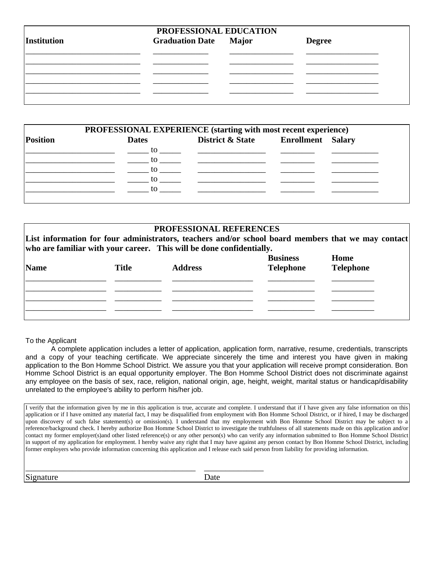| Institution | PROFESSIONAL EDUCATION<br><b>Graduation Date</b> Major | <b>Degree</b> |
|-------------|--------------------------------------------------------|---------------|
|             |                                                        |               |
|             |                                                        |               |
|             |                                                        |               |

|                 |              | PROFESSIONAL EXPERIENCE (starting with most recent experience)                                                                                                                                                                 |  |
|-----------------|--------------|--------------------------------------------------------------------------------------------------------------------------------------------------------------------------------------------------------------------------------|--|
| <b>Position</b> | <b>Dates</b> | District & State Enrollment Salary                                                                                                                                                                                             |  |
|                 |              | to the contract of the contract of the contract of the contract of the contract of the contract of the contract of the contract of the contract of the contract of the contract of the contract of the contract of the contrac |  |
|                 |              | $\sim$ to the set of the set of the set of the set of the set of the set of the set of the set of the set of the set of the set of the set of the set of the set of the set of the set of the set of the set of the set of the |  |
|                 |              | to the contract of the contract of the contract of the contract of the contract of the contract of the contract of the contract of the contract of the contract of the contract of the contract of the contract of the contrac |  |
|                 |              | to to the contract of the contract of the contract of the contract of the contract of the contract of the contract of the contract of the contract of the contract of the contract of the contract of the contract of the cont |  |
|                 | to.          |                                                                                                                                                                                                                                |  |

## **PROFESSIONAL REFERENCES**

**List information for four administrators, teachers and/or school board members that we may contact who are familiar with your career. This will be done confidentially.**

| <b>Name</b> | <b>Title</b> | <b>Address</b> | <b>Business</b><br><b>Telephone</b> | Home<br><b>Telephone</b> |
|-------------|--------------|----------------|-------------------------------------|--------------------------|
|             |              |                |                                     |                          |
|             |              |                |                                     |                          |
|             |              |                |                                     |                          |
|             |              |                |                                     |                          |

## To the Applicant

A complete application includes a letter of application, application form, narrative, resume, credentials, transcripts and a copy of your teaching certificate. We appreciate sincerely the time and interest you have given in making application to the Bon Homme School District. We assure you that your application will receive prompt consideration. Bon Homme School District is an equal opportunity employer. The Bon Homme School District does not discriminate against any employee on the basis of sex, race, religion, national origin, age, height, weight, marital status or handicap/disability unrelated to the employee's ability to perform his/her job.

I verify that the information given by me in this application is true, accurate and complete. I understand that if I have given any false information on this application or if I have omitted any material fact, I may be disqualified from employment with Bon Homme School District, or if hired, I may be discharged upon discovery of such false statement(s) or omission(s). I understand that my employment with Bon Homme School District may be subject to a reference/background check. I hereby authorize Bon Homme School District to investigate the truthfulness of all statements made on this application and/or contact my former employer(s)and other listed reference(s) or any other person(s) who can verify any information submitted to Bon Homme School District in support of my application for employment. I hereby waive any right that I may have against any person contact by Bon Homme School District, including former employers who provide information concerning this application and I release each said person from liability for providing information.

Signature Date

\_\_\_\_\_\_\_\_\_\_\_\_\_\_\_\_\_\_\_\_\_\_\_\_\_\_\_\_\_\_\_\_\_\_\_\_\_\_\_\_ \_\_\_\_\_\_\_\_\_\_\_\_\_\_